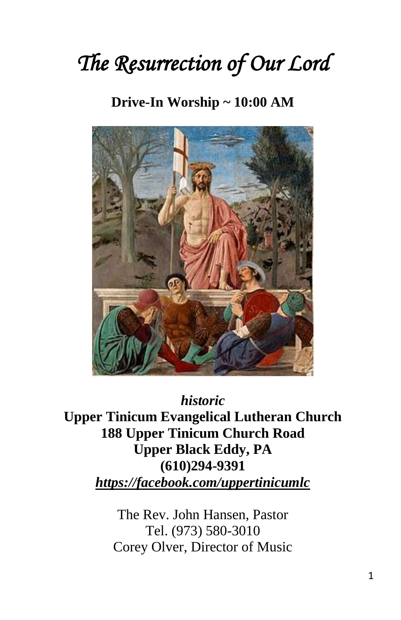# *The Resurrection of Our Lord*

# **Drive-In Worship ~ 10:00 AM**



*historic*

**Upper Tinicum Evangelical Lutheran Church 188 Upper Tinicum Church Road Upper Black Eddy, PA (610)294-9391** *https://facebook.com/uppertinicumlc*

> The Rev. John Hansen, Pastor Tel. (973) 580-3010 Corey Olver, Director of Music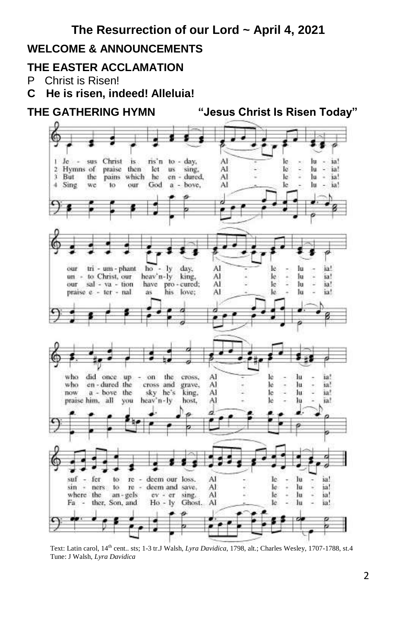# **The Resurrection of our Lord ~ April 4, 2021**

#### **WELCOME & ANNOUNCEMENTS**

#### **THE EASTER ACCLAMATION**

- P Christ is Risen!
- **C He is risen, indeed! Alleluia!**



 Text: Latin carol, 14th cent.. sts; 1-3 tr.J Walsh, *Lyra Davidica*, 1798, alt.; Charles Wesley, 1707-1788, st.4 Tune: J Walsh, *Lyra Davidica*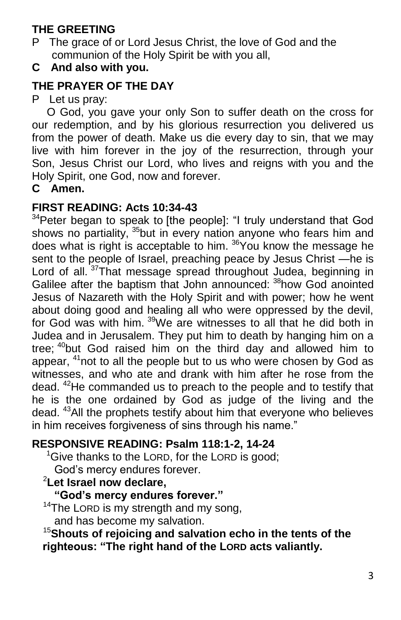# **THE GREETING**

- P The grace of or Lord Jesus Christ, the love of God and the communion of the Holy Spirit be with you all,
- **C And also with you.**

# **THE PRAYER OF THE DAY**

P Let us pray:

 O God, you gave your only Son to suffer death on the cross for our redemption, and by his glorious resurrection you delivered us from the power of death. Make us die every day to sin, that we may live with him forever in the joy of the resurrection, through your Son, Jesus Christ our Lord, who lives and reigns with you and the Holy Spirit, one God, now and forever.

**C Amen.**

#### **FIRST READING: Acts 10:34-43**

<sup>34</sup>Peter began to speak to [the people]: "I truly understand that God shows no partiality, <sup>35</sup>but in every nation anyone who fears him and does what is right is acceptable to him. <sup>36</sup>You know the message he sent to the people of Israel, preaching peace by Jesus Christ —he is Lord of all.<sup>37</sup>That message spread throughout Judea, beginning in Galilee after the baptism that John announced: <sup>38</sup>how God anointed Jesus of Nazareth with the Holy Spirit and with power; how he went about doing good and healing all who were oppressed by the devil, for God was with him. <sup>39</sup>We are witnesses to all that he did both in Judea and in Jerusalem. They put him to death by hanging him on a tree; <sup>40</sup>but God raised him on the third day and allowed him to appear, <sup>41</sup>not to all the people but to us who were chosen by God as witnesses, and who ate and drank with him after he rose from the dead. <sup>42</sup>He commanded us to preach to the people and to testify that he is the one ordained by God as judge of the living and the dead. <sup>43</sup>All the prophets testify about him that everyone who believes in him receives forgiveness of sins through his name."

#### **RESPONSIVE READING: Psalm 118:1-2, 14-24**

 $1$ <sup>o</sup> Give thanks to the LORD, for the LORD is good;

God's mercy endures forever.

# <sup>2</sup>**Let Israel now declare,**

**"God's mercy endures forever."**

<sup>14</sup>The LORD is my strength and my song,

and has become my salvation.

<sup>15</sup>**Shouts of rejoicing and salvation echo in the tents of the righteous: "The right hand of the LORD acts valiantly.**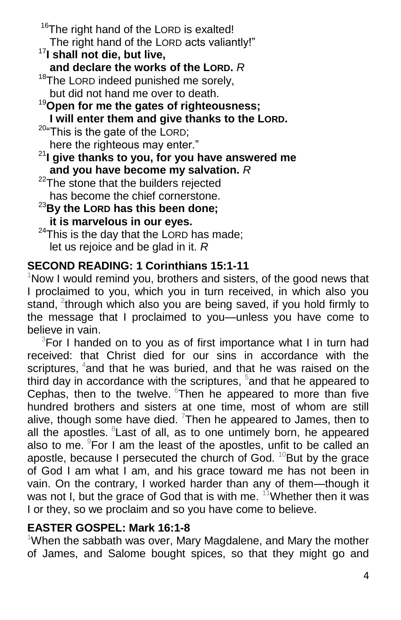<sup>16</sup>The right hand of the LORD is exalted! The right hand of the LORD acts valiantly!" <sup>17</sup>**I shall not die, but live, and declare the works of the LORD.** *R* <sup>18</sup>The LORD indeed punished me sorely, but did not hand me over to death. <sup>19</sup>**Open for me the gates of righteousness; I will enter them and give thanks to the LORD.** <sup>20</sup>"This is the gate of the LORD; here the righteous may enter." <sup>21</sup>**I give thanks to you, for you have answered me and you have become my salvation.** *R*  $22$ The stone that the builders rejected has become the chief cornerstone. <sup>23</sup>**By the LORD has this been done; it is marvelous in our eyes.**

 $24$ This is the day that the LORD has made; let us rejoice and be glad in it. *R*

#### **SECOND READING: 1 Corinthians 15:1-11**

Now I would remind you, brothers and sisters, of the good news that I proclaimed to you, which you in turn received, in which also you stand, <sup>2</sup>through which also you are being saved, if you hold firmly to the message that I proclaimed to you—unless you have come to believe in vain.

 $3$ For I handed on to you as of first importance what I in turn had received: that Christ died for our sins in accordance with the scriptures, <sup>4</sup>and that he was buried, and that he was raised on the third day in accordance with the scriptures,  $5$  and that he appeared to Cephas, then to the twelve.  $6$ Then he appeared to more than five hundred brothers and sisters at one time, most of whom are still alive, though some have died.  $7$ Then he appeared to James, then to all the apostles. <sup>8</sup> Last of all, as to one untimely born, he appeared also to me.  $9$ For I am the least of the apostles, unfit to be called an apostle, because I persecuted the church of God.  $^{10}$ But by the grace of God I am what I am, and his grace toward me has not been in vain. On the contrary, I worked harder than any of them—though it was not I, but the grace of God that is with me.  $11$ Whether then it was I or they, so we proclaim and so you have come to believe.

#### **EASTER GOSPEL: Mark 16:1-8**

<sup>1</sup>When the sabbath was over, Mary Magdalene, and Mary the mother of James, and Salome bought spices, so that they might go and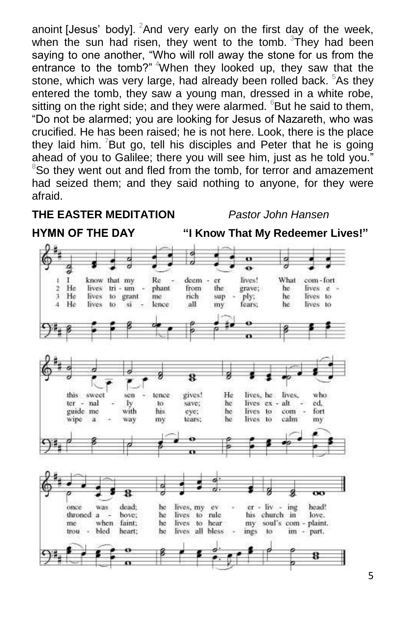anoint [Jesus' body]. <sup>2</sup>And very early on the first day of the week, when the sun had risen, they went to the tomb.  $3$ They had been saying to one another, "Who will roll away the stone for us from the entrance to the tomb?" <sup>4</sup>When they looked up, they saw that the stone, which was very large, had already been rolled back. <sup>5</sup>As they entered the tomb, they saw a young man, dressed in a white robe, sitting on the right side; and they were alarmed.  $6$ But he said to them, "Do not be alarmed; you are looking for Jesus of Nazareth, who was crucified. He has been raised; he is not here. Look, there is the place they laid him.  $\sqrt{2}$ But go, tell his disciples and Peter that he is going ahead of you to Galilee; there you will see him, just as he told you."  $8$ So they went out and fled from the tomb, for terror and amazement had seized them; and they said nothing to anyone, for they were afraid.

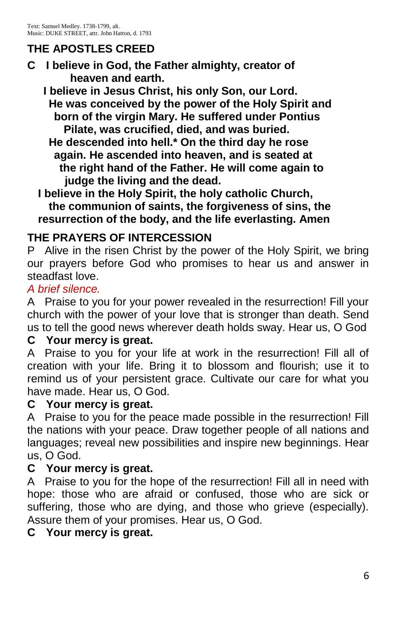# **THE APOSTLES CREED**

**C I believe in God, the Father almighty, creator of heaven and earth.**

 **I believe in Jesus Christ, his only Son, our Lord. He was conceived by the power of the Holy Spirit and born of the virgin Mary. He suffered under Pontius Pilate, was crucified, died, and was buried.** 

 **He descended into hell.\* On the third day he rose again. He ascended into heaven, and is seated at the right hand of the Father. He will come again to judge the living and the dead.**

 **I believe in the Holy Spirit, the holy catholic Church, the communion of saints, the forgiveness of sins, the resurrection of the body, and the life everlasting. Amen**

# **THE PRAYERS OF INTERCESSION**

P Alive in the risen Christ by the power of the Holy Spirit, we bring our prayers before God who promises to hear us and answer in steadfast love.

#### *A brief silence.*

A Praise to you for your power revealed in the resurrection! Fill your church with the power of your love that is stronger than death. Send us to tell the good news wherever death holds sway. Hear us, O God

# **C Your mercy is great.**

A Praise to you for your life at work in the resurrection! Fill all of creation with your life. Bring it to blossom and flourish; use it to remind us of your persistent grace. Cultivate our care for what you have made. Hear us, O God.

#### **C Your mercy is great.**

A Praise to you for the peace made possible in the resurrection! Fill the nations with your peace. Draw together people of all nations and languages; reveal new possibilities and inspire new beginnings. Hear us, O God.

#### **C Your mercy is great.**

A Praise to you for the hope of the resurrection! Fill all in need with hope: those who are afraid or confused, those who are sick or suffering, those who are dying, and those who grieve (especially). Assure them of your promises. Hear us, O God.

# **C Your mercy is great.**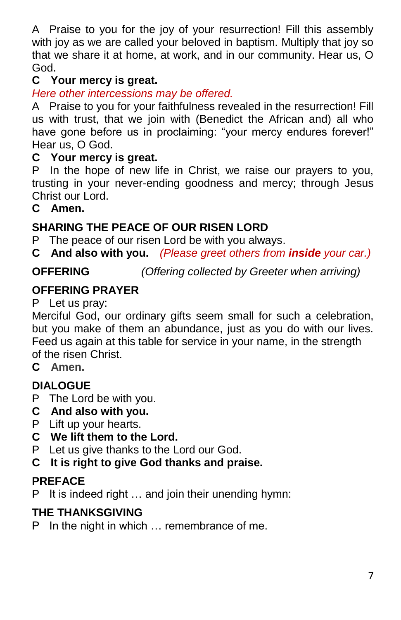A Praise to you for the joy of your resurrection! Fill this assembly with joy as we are called your beloved in baptism. Multiply that joy so that we share it at home, at work, and in our community. Hear us, O God.

# **C Your mercy is great.**

*Here other intercessions may be offered.*

A Praise to you for your faithfulness revealed in the resurrection! Fill us with trust, that we join with (Benedict the African and) all who have gone before us in proclaiming: "your mercy endures forever!" Hear us, O God.

# **C Your mercy is great.**

P In the hope of new life in Christ, we raise our prayers to you, trusting in your never-ending goodness and mercy; through Jesus Christ our Lord.

#### **C Amen.**

# **SHARING THE PEACE OF OUR RISEN LORD**

P The peace of our risen Lord be with you always.

**C And also with you.** *(Please greet others from inside your car.)*

# **OFFERING** *(Offering collected by Greeter when arriving)*

#### **OFFERING PRAYER**

P Let us pray:

Merciful God, our ordinary gifts seem small for such a celebration, but you make of them an abundance, just as you do with our lives. Feed us again at this table for service in your name, in the strength of the risen Christ.

**C Amen.**

# **DIALOGUE**

- P The Lord be with you.
- **C And also with you.**
- P Lift up your hearts.
- **C We lift them to the Lord.**
- P Let us give thanks to the Lord our God.
- **C It is right to give God thanks and praise.**

#### **PREFACE**

P It is indeed right … and join their unending hymn:

# **THE THANKSGIVING**

P In the night in which … remembrance of me.